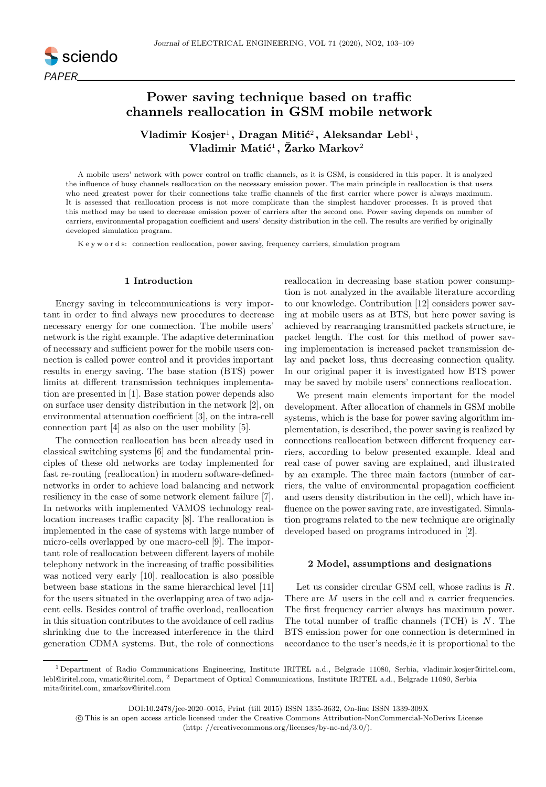

# Power saving technique based on traffic channels reallocation in GSM mobile network

Vladimir Kosjer $^1,$  Dragan Mitić $^2,$  Aleksandar Lebl $^1,$  $\mathbf V$ ladimir Matić $^1,~\check{\mathbf Z}$ arko Markov $^2$ 

A mobile users' network with power control on traffic channels, as it is GSM, is considered in this paper. It is analyzed the influence of busy channels reallocation on the necessary emission power. The main principle in reallocation is that users who need greatest power for their connections take traffic channels of the first carrier where power is always maximum. It is assessed that reallocation process is not more complicate than the simplest handover processes. It is proved that this method may be used to decrease emission power of carriers after the second one. Power saving depends on number of carriers, environmental propagation coefficient and users' density distribution in the cell. The results are verified by originally developed simulation program.

K e y w o r d s: connection reallocation, power saving, frequency carriers, simulation program

# 1 Introduction

Energy saving in telecommunications is very important in order to find always new procedures to decrease necessary energy for one connection. The mobile users' network is the right example. The adaptive determination of necessary and sufficient power for the mobile users connection is called power control and it provides important results in energy saving. The base station (BTS) power limits at different transmission techniques implementation are presented in [1]. Base station power depends also on surface user density distribution in the network [2], on environmental attenuation coefficient [3], on the intra-cell connection part [4] as also on the user mobility [5].

The connection reallocation has been already used in classical switching systems [6] and the fundamental principles of these old networks are today implemented for fast re-routing (reallocation) in modern software-definednetworks in order to achieve load balancing and network resiliency in the case of some network element failure [7]. In networks with implemented VAMOS technology reallocation increases traffic capacity [8]. The reallocation is implemented in the case of systems with large number of micro-cells overlapped by one macro-cell [9]. The important role of reallocation between different layers of mobile telephony network in the increasing of traffic possibilities was noticed very early [10]. reallocation is also possible between base stations in the same hierarchical level [11] for the users situated in the overlapping area of two adjacent cells. Besides control of traffic overload, reallocation in this situation contributes to the avoidance of cell radius shrinking due to the increased interference in the third generation CDMA systems. But, the role of connections reallocation in decreasing base station power consumption is not analyzed in the available literature according to our knowledge. Contribution [12] considers power saving at mobile users as at BTS, but here power saving is achieved by rearranging transmitted packets structure, ie packet length. The cost for this method of power saving implementation is increased packet transmission delay and packet loss, thus decreasing connection quality. In our original paper it is investigated how BTS power may be saved by mobile users' connections reallocation.

We present main elements important for the model development. After allocation of channels in GSM mobile systems, which is the base for power saving algorithm implementation, is described, the power saving is realized by connections reallocation between different frequency carriers, according to below presented example. Ideal and real case of power saving are explained, and illustrated by an example. The three main factors (number of carriers, the value of environmental propagation coefficient and users density distribution in the cell), which have influence on the power saving rate, are investigated. Simulation programs related to the new technique are originally developed based on programs introduced in [2].

### 2 Model, assumptions and designations

Let us consider circular GSM cell, whose radius is R. There are M users in the cell and n carrier frequencies. The first frequency carrier always has maximum power. The total number of traffic channels  $(TCH)$  is N. The BTS emission power for one connection is determined in accordance to the user's needs,  $ie$  it is proportional to the

<sup>1</sup> Department of Radio Communications Engineering, Institute IRITEL a.d., Belgrade 11080, Serbia, vladimir.kosjer@iritel.com, lebl@iritel.com, vmatic@iritel.com, <sup>2</sup> Department of Optical Communications, Institute IRITEL a.d., Belgrade 11080, Serbia mita@iritel.com, zmarkov@iritel.com

DOI:10.2478/jee-2020–0015, Print (till 2015) ISSN 1335-3632, On-line ISSN 1339-309X

c This is an open access article licensed under the Creative Commons Attribution-NonCommercial-NoDerivs License (http: //creativecommons.org/licenses/by-nc-nd/3.0/).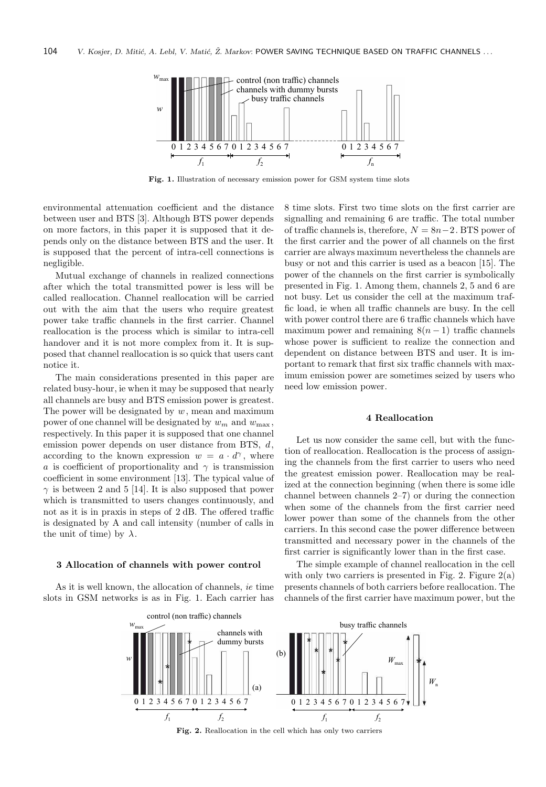

Fig. 1. Illustration of necessary emission power for GSM system time slots

environmental attenuation coefficient and the distance between user and BTS [3]. Although BTS power depends on more factors, in this paper it is supposed that it depends only on the distance between BTS and the user. It is supposed that the percent of intra-cell connections is negligible.

Mutual exchange of channels in realized connections after which the total transmitted power is less will be called reallocation. Channel reallocation will be carried out with the aim that the users who require greatest power take traffic channels in the first carrier. Channel reallocation is the process which is similar to intra-cell handover and it is not more complex from it. It is supposed that channel reallocation is so quick that users cant notice it.

The main considerations presented in this paper are related busy-hour, ie when it may be supposed that nearly all channels are busy and BTS emission power is greatest. The power will be designated by  $w$ , mean and maximum power of one channel will be designated by  $w_m$  and  $w_{\text{max}}$ , respectively. In this paper it is supposed that one channel emission power depends on user distance from BTS, d, according to the known expression  $w = a \cdot d^{\gamma}$ , where a is coefficient of proportionality and  $\gamma$  is transmission coefficient in some environment [13]. The typical value of  $\gamma$  is between 2 and 5 [14]. It is also supposed that power which is transmitted to users changes continuously, and not as it is in praxis in steps of 2 dB. The offered traffic is designated by A and call intensity (number of calls in the unit of time) by  $\lambda$ .

#### 3 Allocation of channels with power control

As it is well known, the allocation of channels, ie time slots in GSM networks is as in Fig. 1. Each carrier has 8 time slots. First two time slots on the first carrier are signalling and remaining 6 are traffic. The total number of traffic channels is, therefore,  $N = 8n-2$ . BTS power of the first carrier and the power of all channels on the first carrier are always maximum nevertheless the channels are busy or not and this carrier is used as a beacon [15]. The power of the channels on the first carrier is symbolically presented in Fig. 1. Among them, channels 2, 5 and 6 are not busy. Let us consider the cell at the maximum traffic load, ie when all traffic channels are busy. In the cell with power control there are 6 traffic channels which have maximum power and remaining  $8(n-1)$  traffic channels whose power is sufficient to realize the connection and dependent on distance between BTS and user. It is important to remark that first six traffic channels with maximum emission power are sometimes seized by users who need low emission power.

### 4 Reallocation

Let us now consider the same cell, but with the function of reallocation. Reallocation is the process of assigning the channels from the first carrier to users who need the greatest emission power. Reallocation may be realized at the connection beginning (when there is some idle channel between channels 2–7) or during the connection when some of the channels from the first carrier need lower power than some of the channels from the other carriers. In this second case the power difference between transmitted and necessary power in the channels of the first carrier is significantly lower than in the first case.

The simple example of channel reallocation in the cell with only two carriers is presented in Fig. 2. Figure  $2(a)$ presents channels of both carriers before reallocation. The channels of the first carrier have maximum power, but the



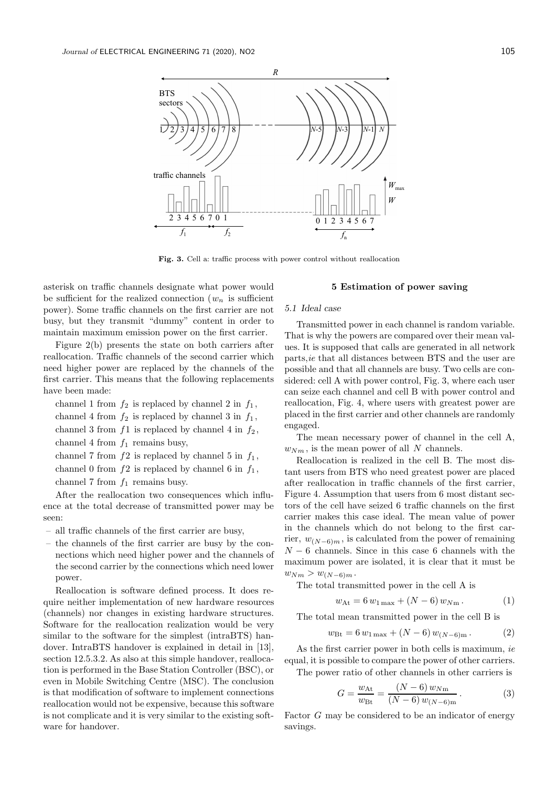

Fig. 3. Cell a: traffic process with power control without reallocation

asterisk on traffic channels designate what power would be sufficient for the realized connection  $(w_n)$  is sufficient power). Some traffic channels on the first carrier are not busy, but they transmit "dummy" content in order to maintain maximum emission power on the first carrier.

Figure 2(b) presents the state on both carriers after reallocation. Traffic channels of the second carrier which need higher power are replaced by the channels of the first carrier. This means that the following replacements have been made:

channel 1 from  $f_2$  is replaced by channel 2 in  $f_1$ , channel 4 from  $f_2$  is replaced by channel 3 in  $f_1$ , channel 3 from  $f1$  is replaced by channel 4 in  $f_2$ , channel 4 from  $f_1$  remains busy, channel 7 from  $f2$  is replaced by channel 5 in  $f_1$ , channel 0 from  $f2$  is replaced by channel 6 in  $f_1$ ,

channel 7 from  $f_1$  remains busy.

After the reallocation two consequences which influence at the total decrease of transmitted power may be seen:

- all traffic channels of the first carrier are busy,
- the channels of the first carrier are busy by the connections which need higher power and the channels of the second carrier by the connections which need lower power.

Reallocation is software defined process. It does require neither implementation of new hardware resources (channels) nor changes in existing hardware structures. Software for the reallocation realization would be very similar to the software for the simplest (intraBTS) handover. IntraBTS handover is explained in detail in [13], section 12.5.3.2. As also at this simple handover, reallocation is performed in the Base Station Controller (BSC), or even in Mobile Switching Centre (MSC). The conclusion is that modification of software to implement connections reallocation would not be expensive, because this software is not complicate and it is very similar to the existing software for handover.

### 5 Estimation of power saving

### 5.1 Ideal case

Transmitted power in each channel is random variable. That is why the powers are compared over their mean values. It is supposed that calls are generated in all network parts,ie that all distances between BTS and the user are possible and that all channels are busy. Two cells are considered: cell A with power control, Fig. 3, where each user can seize each channel and cell B with power control and reallocation, Fig. 4, where users with greatest power are placed in the first carrier and other channels are randomly engaged.

The mean necessary power of channel in the cell A,  $w_{Nm}$ , is the mean power of all N channels.

Reallocation is realized in the cell B. The most distant users from BTS who need greatest power are placed after reallocation in traffic channels of the first carrier, Figure 4. Assumption that users from 6 most distant sectors of the cell have seized 6 traffic channels on the first carrier makes this case ideal. The mean value of power in the channels which do not belong to the first carrier,  $w_{(N-6)m}$ , is calculated from the power of remaining  $N-6$  channels. Since in this case 6 channels with the maximum power are isolated, it is clear that it must be  $w_{Nm} > w_{(N-6)m}$ .

The total transmitted power in the cell A is

$$
w_{\text{At}} = 6 w_{1\,\text{max}} + (N - 6) w_{N\,\text{m}}.
$$
 (1)

The total mean transmitted power in the cell B is

$$
w_{\text{Bt}} = 6 w_{1\,\text{max}} + (N - 6) w_{(N - 6)\text{m}}.
$$
 (2)

As the first carrier power in both cells is maximum, ie equal, it is possible to compare the power of other carriers.

The power ratio of other channels in other carriers is

$$
G = \frac{w_{\text{At}}}{w_{\text{Bt}}} = \frac{(N-6) w_{\text{Nm}}}{(N-6) w_{(N-6)m}}.
$$
 (3)

Factor G may be considered to be an indicator of energy savings.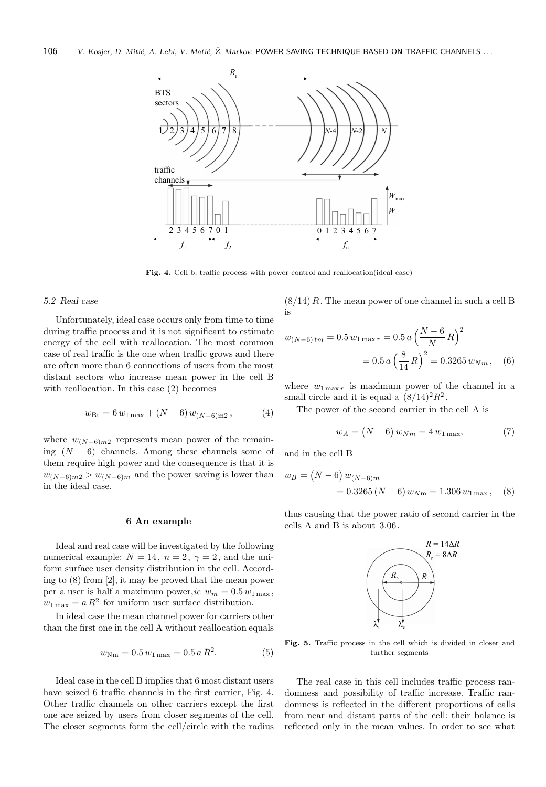

Fig. 4. Cell b: traffic process with power control and reallocation(ideal case)

### 5.2 Real case

Unfortunately, ideal case occurs only from time to time during traffic process and it is not significant to estimate energy of the cell with reallocation. The most common case of real traffic is the one when traffic grows and there are often more than 6 connections of users from the most distant sectors who increase mean power in the cell B with reallocation. In this case (2) becomes

$$
w_{\text{Bt}} = 6 w_{1\,\text{max}} + (N - 6) w_{(N - 6)\text{m2}},\tag{4}
$$

where  $w_{(N-6)m2}$  represents mean power of the remaining  $(N - 6)$  channels. Among these channels some of them require high power and the consequence is that it is  $w_{(N-6)m2} > w_{(N-6)m}$  and the power saving is lower than in the ideal case.

### 6 An example

Ideal and real case will be investigated by the following numerical example:  $N = 14$ ,  $n = 2$ ,  $\gamma = 2$ , and the uniform surface user density distribution in the cell. According to (8) from [2], it may be proved that the mean power per a user is half a maximum power, ie  $w_m = 0.5 w_{1\,\text{max}}$ ,  $w_{1\,\text{max}} = a R^2$  for uniform user surface distribution.

In ideal case the mean channel power for carriers other than the first one in the cell A without reallocation equals

$$
w_{\rm Nm} = 0.5 w_{1\,\rm max} = 0.5 a R^2. \tag{5}
$$

Ideal case in the cell B implies that 6 most distant users have seized 6 traffic channels in the first carrier, Fig. 4. Other traffic channels on other carriers except the first one are seized by users from closer segments of the cell. The closer segments form the cell/circle with the radius

 $(8/14)$  R. The mean power of one channel in such a cell B is

$$
w_{(N-6)tm} = 0.5 w_{1\max r} = 0.5 a \left(\frac{N-6}{N}R\right)^2
$$

$$
= 0.5 a \left(\frac{8}{14}R\right)^2 = 0.3265 w_{Nm}, \quad (6)
$$

where  $w_{1\max r}$  is maximum power of the channel in a small circle and it is equal a  $(8/14)^2 R^2$ .

The power of the second carrier in the cell A is

$$
w_A = (N - 6) w_{Nm} = 4 w_{1\max}, \tag{7}
$$

and in the cell B

$$
w_B = (N - 6) w_{(N - 6)m}
$$
  
= 0.3265 (N - 6) w\_{Nm} = 1.306 w\_{1 max}, (8)

thus causing that the power ratio of second carrier in the cells A and B is about 3.06.



Fig. 5. Traffic process in the cell which is divided in closer and further segments

The real case in this cell includes traffic process randomness and possibility of traffic increase. Traffic randomness is reflected in the different proportions of calls from near and distant parts of the cell: their balance is reflected only in the mean values. In order to see what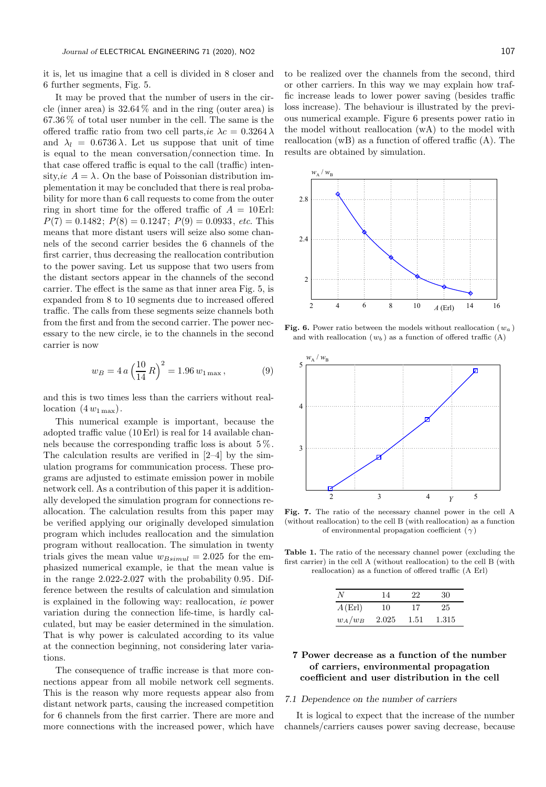it is, let us imagine that a cell is divided in 8 closer and 6 further segments, Fig. 5.

It may be proved that the number of users in the circle (inner area) is  $32.64\%$  and in the ring (outer area) is 67.36 % of total user number in the cell. The same is the offered traffic ratio from two cell parts,  $ie \ \lambda c = 0.3264 \lambda$ and  $\lambda_l = 0.6736 \lambda$ . Let us suppose that unit of time is equal to the mean conversation/connection time. In that case offered traffic is equal to the call (traffic) intensity, ie  $A = \lambda$ . On the base of Poissonian distribution implementation it may be concluded that there is real probability for more than 6 call requests to come from the outer ring in short time for the offered traffic of  $A = 10E$ rl:  $P(7) = 0.1482$ ;  $P(8) = 0.1247$ ;  $P(9) = 0.0933$ , etc. This means that more distant users will seize also some channels of the second carrier besides the 6 channels of the first carrier, thus decreasing the reallocation contribution to the power saving. Let us suppose that two users from the distant sectors appear in the channels of the second carrier. The effect is the same as that inner area Fig. 5, is expanded from 8 to 10 segments due to increased offered traffic. The calls from these segments seize channels both from the first and from the second carrier. The power necessary to the new circle, ie to the channels in the second carrier is now

$$
w_B = 4 a \left(\frac{10}{14} R\right)^2 = 1.96 w_{1\max},\tag{9}
$$

and this is two times less than the carriers without reallocation  $(4 w_{1\,\text{max}})$ .

This numerical example is important, because the adopted traffic value (10 Erl) is real for 14 available channels because the corresponding traffic loss is about 5 %. The calculation results are verified in [2–4] by the simulation programs for communication process. These programs are adjusted to estimate emission power in mobile network cell. As a contribution of this paper it is additionally developed the simulation program for connections reallocation. The calculation results from this paper may be verified applying our originally developed simulation program which includes reallocation and the simulation program without reallocation. The simulation in twenty trials gives the mean value  $w_{Bsimul} = 2.025$  for the emphasized numerical example, ie that the mean value is in the range 2.022-2.027 with the probability 0.95. Difference between the results of calculation and simulation is explained in the following way: reallocation, ie power variation during the connection life-time, is hardly calculated, but may be easier determined in the simulation. That is why power is calculated according to its value at the connection beginning, not considering later variations.

The consequence of traffic increase is that more connections appear from all mobile network cell segments. This is the reason why more requests appear also from distant network parts, causing the increased competition for 6 channels from the first carrier. There are more and more connections with the increased power, which have

to be realized over the channels from the second, third or other carriers. In this way we may explain how traffic increase leads to lower power saving (besides traffic loss increase). The behaviour is illustrated by the previous numerical example. Figure 6 presents power ratio in the model without reallocation (wA) to the model with reallocation (wB) as a function of offered traffic (A). The results are obtained by simulation.



Fig. 6. Power ratio between the models without reallocation  $(w_a)$ and with reallocation  $(w_b)$  as a function of offered traffic  $(A)$ 



Fig. 7. The ratio of the necessary channel power in the cell A (without reallocation) to the cell B (with reallocation) as a function of environmental propagation coefficient  $(\gamma)$ 

Table 1. The ratio of the necessary channel power (excluding the first carrier) in the cell A (without reallocation) to the cell B (with reallocation) as a function of offered traffic (A Erl)

| N         | 14    | 22   | 30    |  |
|-----------|-------|------|-------|--|
| A(Erl)    | 10    | 17   | 25    |  |
| $w_A/w_B$ | 2.025 | 1.51 | 1.315 |  |

# 7 Power decrease as a function of the number of carriers, environmental propagation coefficient and user distribution in the cell

### 7.1 Dependence on the number of carriers

It is logical to expect that the increase of the number channels/carriers causes power saving decrease, because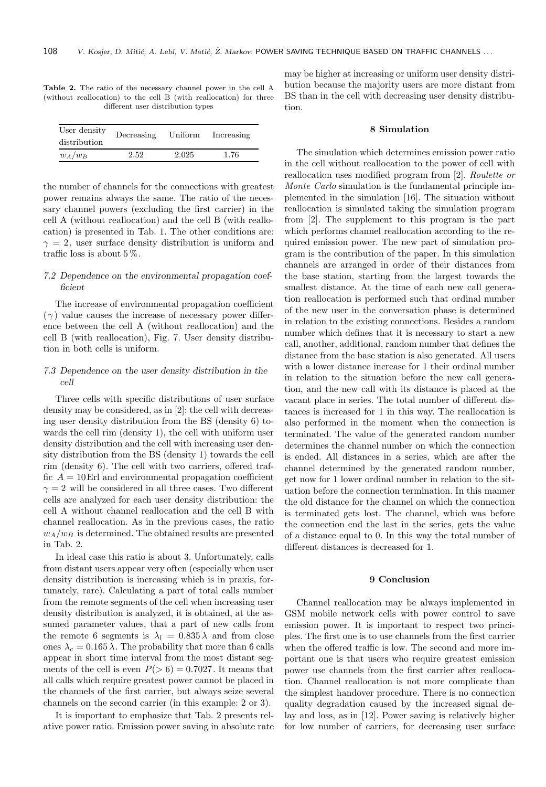| <b>Table 2.</b> The ratio of the necessary channel power in the cell A |
|------------------------------------------------------------------------|
| (without reallocation) to the cell B (with reallocation) for three     |
| different user distribution types                                      |
|                                                                        |

| User density<br>distribution | Decreasing | Uniform | Increasing |
|------------------------------|------------|---------|------------|
| $w_A/w_B$                    | 2.52       | 2.025   | 1.76       |

the number of channels for the connections with greatest power remains always the same. The ratio of the necessary channel powers (excluding the first carrier) in the cell A (without reallocation) and the cell B (with reallocation) is presented in Tab. 1. The other conditions are:  $\gamma = 2$ , user surface density distribution is uniform and traffic loss is about  $5\%$ .

# 7.2 Dependence on the environmental propagation coefficient

The increase of environmental propagation coefficient  $(\gamma)$  value causes the increase of necessary power difference between the cell A (without reallocation) and the cell B (with reallocation), Fig. 7. User density distribution in both cells is uniform.

## 7.3 Dependence on the user density distribution in the cell

Three cells with specific distributions of user surface density may be considered, as in [2]: the cell with decreasing user density distribution from the BS (density 6) towards the cell rim (density 1), the cell with uniform user density distribution and the cell with increasing user density distribution from the BS (density 1) towards the cell rim (density 6). The cell with two carriers, offered traffic  $A = 10$  Erl and environmental propagation coefficient  $\gamma = 2$  will be considered in all three cases. Two different cells are analyzed for each user density distribution: the cell A without channel reallocation and the cell B with channel reallocation. As in the previous cases, the ratio  $w_A/w_B$  is determined. The obtained results are presented in Tab. 2.

In ideal case this ratio is about 3. Unfortunately, calls from distant users appear very often (especially when user density distribution is increasing which is in praxis, fortunately, rare). Calculating a part of total calls number from the remote segments of the cell when increasing user density distribution is analyzed, it is obtained, at the assumed parameter values, that a part of new calls from the remote 6 segments is  $\lambda_l = 0.835 \lambda$  and from close ones  $\lambda_c = 0.165 \lambda$ . The probability that more than 6 calls appear in short time interval from the most distant segments of the cell is even  $P(> 6) = 0.7027$ . It means that all calls which require greatest power cannot be placed in the channels of the first carrier, but always seize several channels on the second carrier (in this example: 2 or 3).

It is important to emphasize that Tab. 2 presents relative power ratio. Emission power saving in absolute rate may be higher at increasing or uniform user density distribution because the majority users are more distant from BS than in the cell with decreasing user density distribution.

# 8 Simulation

The simulation which determines emission power ratio in the cell without reallocation to the power of cell with reallocation uses modified program from [2]. Roulette or Monte Carlo simulation is the fundamental principle implemented in the simulation [16]. The situation without reallocation is simulated taking the simulation program from [2]. The supplement to this program is the part which performs channel reallocation according to the required emission power. The new part of simulation program is the contribution of the paper. In this simulation channels are arranged in order of their distances from the base station, starting from the largest towards the smallest distance. At the time of each new call generation reallocation is performed such that ordinal number of the new user in the conversation phase is determined in relation to the existing connections. Besides a random number which defines that it is necessary to start a new call, another, additional, random number that defines the distance from the base station is also generated. All users with a lower distance increase for 1 their ordinal number in relation to the situation before the new call generation, and the new call with its distance is placed at the vacant place in series. The total number of different distances is increased for 1 in this way. The reallocation is also performed in the moment when the connection is terminated. The value of the generated random number determines the channel number on which the connection is ended. All distances in a series, which are after the channel determined by the generated random number, get now for 1 lower ordinal number in relation to the situation before the connection termination. In this manner the old distance for the channel on which the connection is terminated gets lost. The channel, which was before the connection end the last in the series, gets the value of a distance equal to 0. In this way the total number of different distances is decreased for 1.

### 9 Conclusion

Channel reallocation may be always implemented in GSM mobile network cells with power control to save emission power. It is important to respect two principles. The first one is to use channels from the first carrier when the offered traffic is low. The second and more important one is that users who require greatest emission power use channels from the first carrier after reallocation. Channel reallocation is not more complicate than the simplest handover procedure. There is no connection quality degradation caused by the increased signal delay and loss, as in [12]. Power saving is relatively higher for low number of carriers, for decreasing user surface